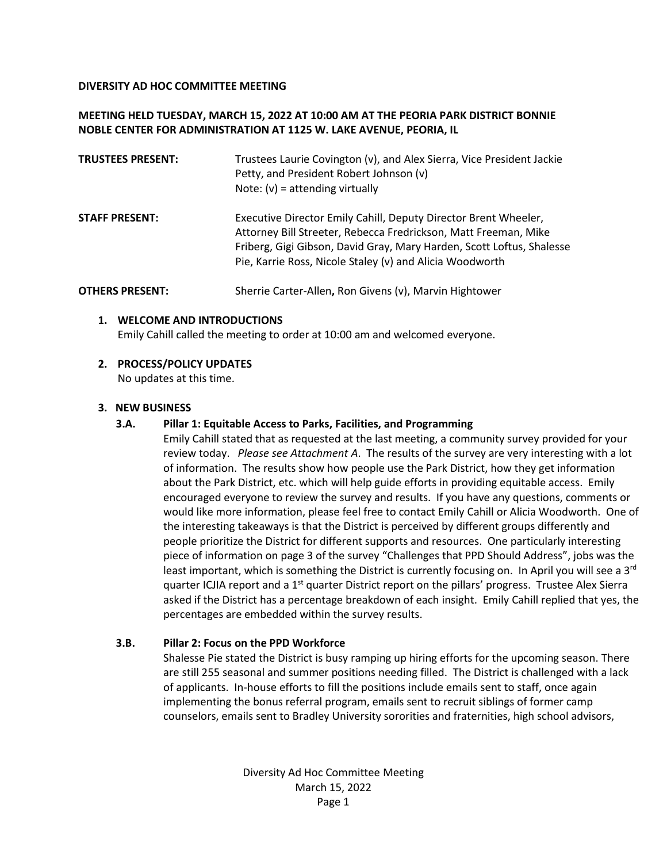## **DIVERSITY AD HOC COMMITTEE MEETING**

# **MEETING HELD TUESDAY, MARCH 15, 2022 AT 10:00 AM AT THE PEORIA PARK DISTRICT BONNIE NOBLE CENTER FOR ADMINISTRATION AT 1125 W. LAKE AVENUE, PEORIA, IL**

| <b>TRUSTEES PRESENT:</b> | Trustees Laurie Covington (v), and Alex Sierra, Vice President Jackie<br>Petty, and President Robert Johnson (v)<br>Note: $(v)$ = attending virtually                                                                                                                   |
|--------------------------|-------------------------------------------------------------------------------------------------------------------------------------------------------------------------------------------------------------------------------------------------------------------------|
| <b>STAFF PRESENT:</b>    | Executive Director Emily Cahill, Deputy Director Brent Wheeler,<br>Attorney Bill Streeter, Rebecca Fredrickson, Matt Freeman, Mike<br>Friberg, Gigi Gibson, David Gray, Mary Harden, Scott Loftus, Shalesse<br>Pie, Karrie Ross, Nicole Staley (v) and Alicia Woodworth |
| <b>OTHERS PRESENT:</b>   | Sherrie Carter-Allen, Ron Givens (v), Marvin Hightower                                                                                                                                                                                                                  |

### **1. WELCOME AND INTRODUCTIONS**

Emily Cahill called the meeting to order at 10:00 am and welcomed everyone.

### **2. PROCESS/POLICY UPDATES**

No updates at this time.

## **3. NEW BUSINESS**

## **3.A. Pillar 1: Equitable Access to Parks, Facilities, and Programming**

Emily Cahill stated that as requested at the last meeting, a community survey provided for your review today. *Please see Attachment A*. The results of the survey are very interesting with a lot of information. The results show how people use the Park District, how they get information about the Park District, etc. which will help guide efforts in providing equitable access. Emily encouraged everyone to review the survey and results. If you have any questions, comments or would like more information, please feel free to contact Emily Cahill or Alicia Woodworth. One of the interesting takeaways is that the District is perceived by different groups differently and people prioritize the District for different supports and resources. One particularly interesting piece of information on page 3 of the survey "Challenges that PPD Should Address", jobs was the least important, which is something the District is currently focusing on. In April you will see a 3<sup>rd</sup> quarter ICJIA report and a 1<sup>st</sup> quarter District report on the pillars' progress. Trustee Alex Sierra asked if the District has a percentage breakdown of each insight. Emily Cahill replied that yes, the percentages are embedded within the survey results.

## **3.B. Pillar 2: Focus on the PPD Workforce**

Shalesse Pie stated the District is busy ramping up hiring efforts for the upcoming season. There are still 255 seasonal and summer positions needing filled. The District is challenged with a lack of applicants. In-house efforts to fill the positions include emails sent to staff, once again implementing the bonus referral program, emails sent to recruit siblings of former camp counselors, emails sent to Bradley University sororities and fraternities, high school advisors,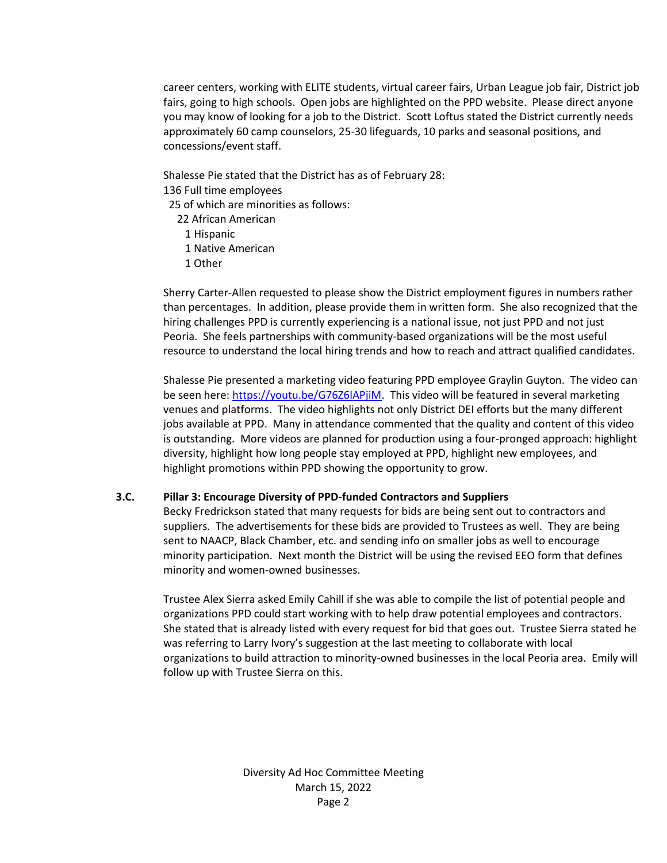career centers, working with ELITE students, virtual career fairs, Urban League job fair, District job fairs, going to high schools. Open jobs are highlighted on the PPD website. Please direct anyone you may know of looking for a job to the District. Scott Loftus stated the District currently needs approximately 60 camp counselors, 25-30 lifeguards, 10 parks and seasonal positions, and concessions/event staff.

Shalesse Pie stated that the District has as of February 28: 136 Full time employees

25 of which are minorities as follows:

22 African American

- 1 Hispanic
- 1 Native American
- 1 Other

Sherry Carter-Allen requested to please show the District employment figures in numbers rather than percentages. In addition, please provide them in written form. She also recognized that the hiring challenges PPD is currently experiencing is a national issue, not just PPD and not just Peoria. She feels partnerships with community-based organizations will be the most useful resource to understand the local hiring trends and how to reach and attract qualified candidates.

Shalesse Pie presented a marketing video featuring PPD employee Graylin Guyton. The video can be seen here: [https://youtu.be/G76Z6lAPjiM.](https://youtu.be/G76Z6lAPjiM) This video will be featured in several marketing venues and platforms. The video highlights not only District DEI efforts but the many different jobs available at PPD. Many in attendance commented that the quality and content of this video is outstanding. More videos are planned for production using a four-pronged approach: highlight diversity, highlight how long people stay employed at PPD, highlight new employees, and highlight promotions within PPD showing the opportunity to grow.

## **3.C. Pillar 3: Encourage Diversity of PPD-funded Contractors and Suppliers**

Becky Fredrickson stated that many requests for bids are being sent out to contractors and suppliers. The advertisements for these bids are provided to Trustees as well. They are being sent to NAACP, Black Chamber, etc. and sending info on smaller jobs as well to encourage minority participation. Next month the District will be using the revised EEO form that defines minority and women-owned businesses.

Trustee Alex Sierra asked Emily Cahill if she was able to compile the list of potential people and organizations PPD could start working with to help draw potential employees and contractors. She stated that is already listed with every request for bid that goes out. Trustee Sierra stated he was referring to Larry Ivory's suggestion at the last meeting to collaborate with local organizations to build attraction to minority-owned businesses in the local Peoria area. Emily will follow up with Trustee Sierra on this.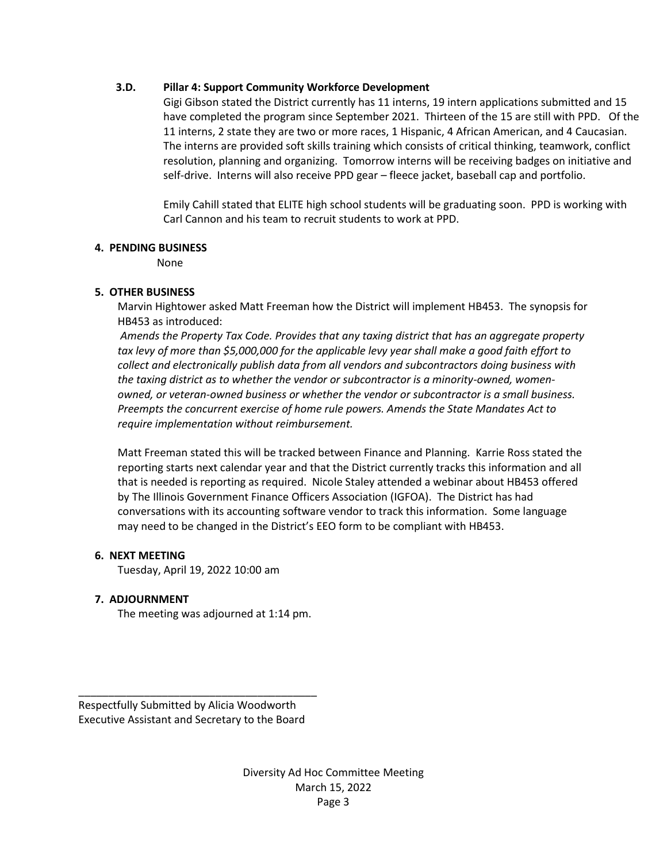## **3.D. Pillar 4: Support Community Workforce Development**

Gigi Gibson stated the District currently has 11 interns, 19 intern applications submitted and 15 have completed the program since September 2021. Thirteen of the 15 are still with PPD. Of the 11 interns, 2 state they are two or more races, 1 Hispanic, 4 African American, and 4 Caucasian. The interns are provided soft skills training which consists of critical thinking, teamwork, conflict resolution, planning and organizing. Tomorrow interns will be receiving badges on initiative and self-drive. Interns will also receive PPD gear – fleece jacket, baseball cap and portfolio.

Emily Cahill stated that ELITE high school students will be graduating soon. PPD is working with Carl Cannon and his team to recruit students to work at PPD.

# **4. PENDING BUSINESS**

None

# **5. OTHER BUSINESS**

Marvin Hightower asked Matt Freeman how the District will implement HB453. The synopsis for HB453 as introduced:

*Amends the Property Tax Code. Provides that any taxing district that has an aggregate property tax levy of more than \$5,000,000 for the applicable levy year shall make a good faith effort to collect and electronically publish data from all vendors and subcontractors doing business with the taxing district as to whether the vendor or subcontractor is a minority-owned, womenowned, or veteran-owned business or whether the vendor or subcontractor is a small business. Preempts the concurrent exercise of home rule powers. Amends the State Mandates Act to require implementation without reimbursement.* 

Matt Freeman stated this will be tracked between Finance and Planning. Karrie Ross stated the reporting starts next calendar year and that the District currently tracks this information and all that is needed is reporting as required. Nicole Staley attended a webinar about HB453 offered by The Illinois Government Finance Officers Association (IGFOA). The District has had conversations with its accounting software vendor to track this information. Some language may need to be changed in the District's EEO form to be compliant with HB453.

# **6. NEXT MEETING**

Tuesday, April 19, 2022 10:00 am

# **7. ADJOURNMENT**

The meeting was adjourned at 1:14 pm.

Respectfully Submitted by Alicia Woodworth Executive Assistant and Secretary to the Board

\_\_\_\_\_\_\_\_\_\_\_\_\_\_\_\_\_\_\_\_\_\_\_\_\_\_\_\_\_\_\_\_\_\_\_\_\_\_\_\_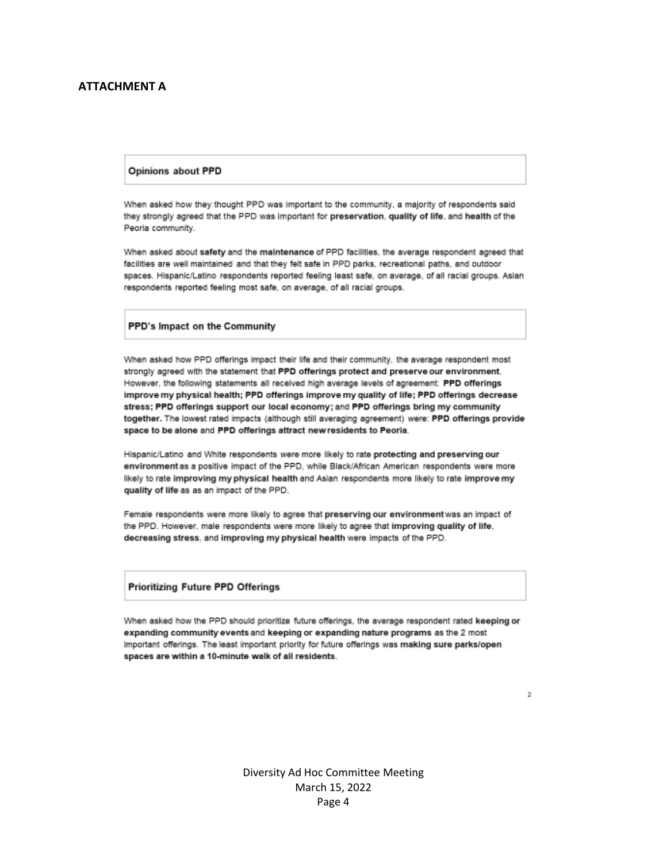### **ATTACHMENT A**

#### **Opinions about PPD**

When asked how they thought PPD was important to the community, a majority of respondents said they strongly agreed that the PPD was important for preservation, quality of life, and health of the Peoria community.

When asked about safety and the maintenance of PPD facilities, the average respondent agreed that facilities are well maintained and that they felt safe in PPD parks, recreational paths, and outdoor spaces. Hispanic/Latino respondents reported feeling least safe, on average, of all racial groups. Asian respondents reported feeling most safe, on average, of all racial groups.

### PPD's Impact on the Community

When asked how PPD offerings impact their life and their community, the average respondent most strongly agreed with the statement that PPD offerings protect and preserve our environment. However, the following statements all received high average levels of agreement: PPD offerings improve my physical health; PPD offerings improve my quality of life; PPD offerings decrease stress; PPD offerings support our local economy; and PPD offerings bring my community together. The lowest rated impacts (although still averaging agreement) were: PPD offerings provide space to be alone and PPD offerings attract new residents to Peoria.

Hispanic/Latino and White respondents were more likely to rate protecting and preserving our environment as a positive impact of the PPD, while Black/African American respondents were more likely to rate improving my physical health and Asian respondents more likely to rate improve my quality of life as as an impact of the PPD.

Female respondents were more likely to agree that preserving our environment was an impact of the PPD. However, male respondents were more likely to agree that improving quality of life, decreasing stress, and improving my physical health were impacts of the PPD.

### Prioritizing Future PPD Offerings

When asked how the PPD should prioritize future offerings, the average respondent rated keeping or expanding community events and keeping or expanding nature programs as the 2 most important offerings. The least important priority for future offerings was making sure parks/open spaces are within a 10-minute walk of all residents.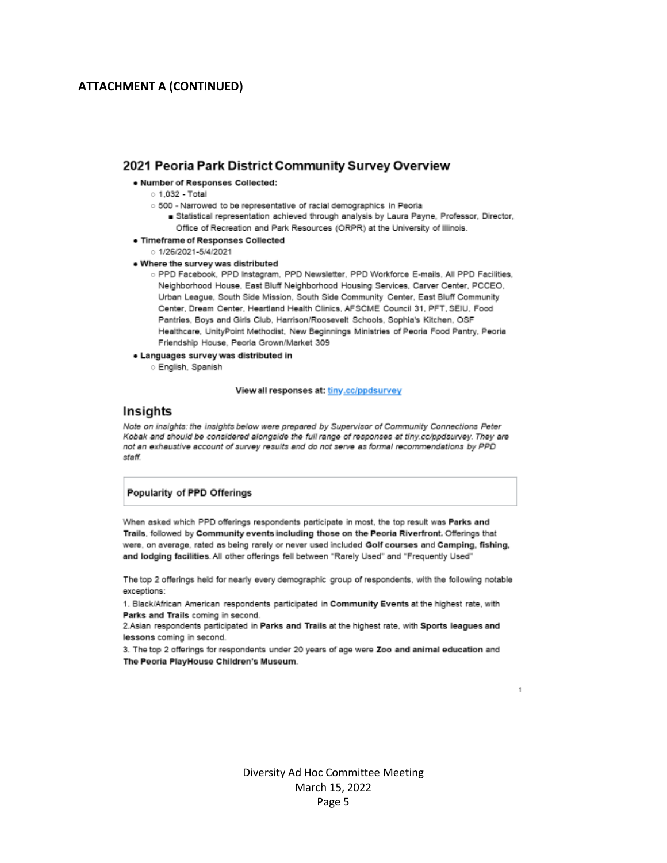### **ATTACHMENT A (CONTINUED)**

### 2021 Peoria Park District Community Survey Overview

#### . Number of Responses Collected:

- $\circ$  1.032 Total
- o 500 Narrowed to be representative of racial demographics in Peoria
	- statistical representation achieved through analysis by Laura Payne, Professor, Director, Office of Recreation and Park Resources (ORPR) at the University of Illinois.
- · Timeframe of Responses Collected
	- $0.1/26/2021 5/4/2021$
- . Where the survey was distributed
	- o PPD Facebook, PPD Instagram, PPD Newsletter, PPD Workforce E-mails, All PPD Facilities, Neighborhood House, East Bluff Neighborhood Housing Services, Carver Center, PCCEO, Urban League, South Side Mission, South Side Community Center, East Bluff Community Center, Dream Center, Heartland Health Clinics, AFSCME Council 31, PFT, SEIU, Food Pantries, Boys and Girls Club, Harrison/Roosevelt Schools, Sophia's Kitchen, OSF Healthcare, UnityPoint Methodist, New Beginnings Ministries of Peoria Food Pantry, Peoria Friendship House, Peoria Grown/Market 309
- · Languages survey was distributed in
	- **English**, Spanish

#### View all responses at: tiny.cc/ppdsurvey

#### Insights

Note on insights: the insights below were prepared by Supervisor of Community Connections Peter Kobak and should be considered alongside the full range of responses at tiny.co/ppdsurvey. They are not an exhaustive account of survey results and do not serve as formal recommendations by PPD staff.

### Popularity of PPD Offerings

When asked which PPD offerings respondents participate in most, the top result was Parks and Trails, followed by Community events including those on the Peoria Riverfront. Offerings that were, on average, rated as being rarely or never used included Golf courses and Camping, fishing, and lodging facilities. All other offerings fell between "Rarely Used" and "Frequently Used"

The top 2 offerings held for nearly every demographic group of respondents, with the following notable exceptions:

1. Black/African American respondents participated in Community Events at the highest rate, with Parks and Trails coming in second.

2.Asian respondents participated in Parks and Trails at the highest rate, with Sports leagues and lessons coming in second.

3. The top 2 offerings for respondents under 20 years of age were Zoo and animal education and The Peoria PlayHouse Children's Museum.

> Diversity Ad Hoc Committee Meeting March 15, 2022 Page 5

1